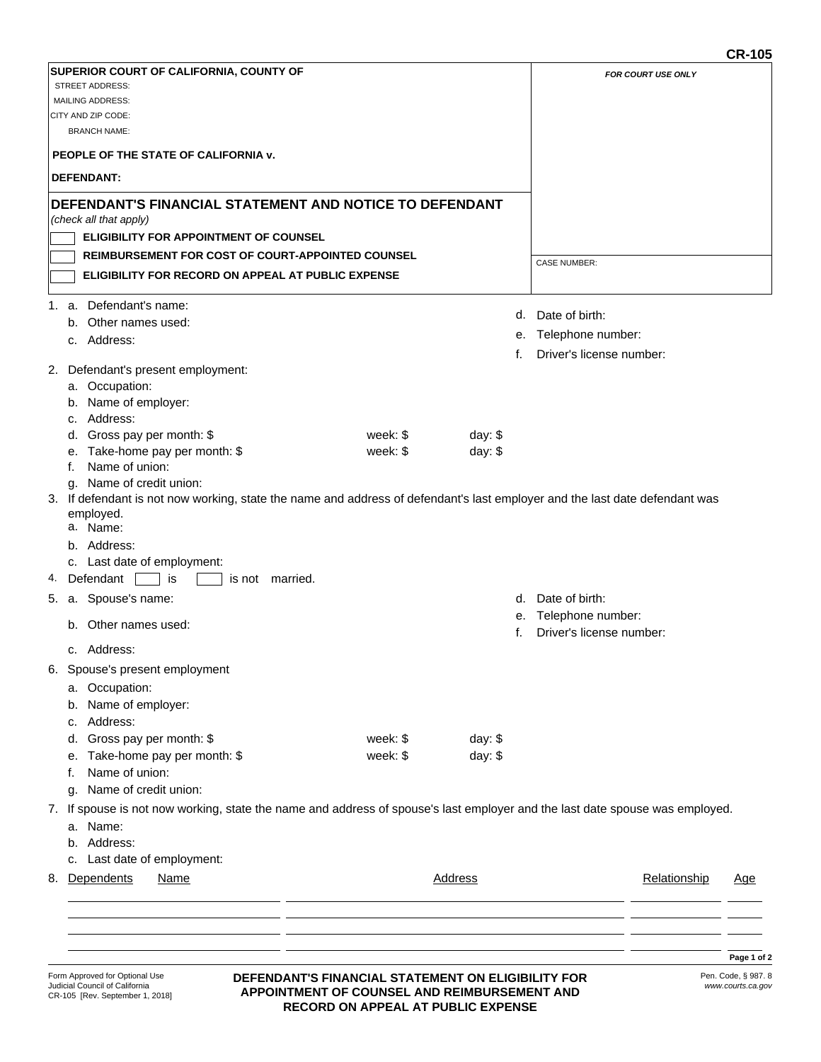|    |                                                                                                                              |           |                |                      |                          | טו־יט      |
|----|------------------------------------------------------------------------------------------------------------------------------|-----------|----------------|----------------------|--------------------------|------------|
|    | SUPERIOR COURT OF CALIFORNIA, COUNTY OF                                                                                      |           |                |                      | FOR COURT USE ONLY       |            |
|    | <b>STREET ADDRESS:</b>                                                                                                       |           |                |                      |                          |            |
|    | <b>MAILING ADDRESS:</b><br>CITY AND ZIP CODE:                                                                                |           |                |                      |                          |            |
|    | <b>BRANCH NAME:</b>                                                                                                          |           |                |                      |                          |            |
|    | PEOPLE OF THE STATE OF CALIFORNIA V.                                                                                         |           |                |                      |                          |            |
|    | <b>DEFENDANT:</b>                                                                                                            |           |                |                      |                          |            |
|    | DEFENDANT'S FINANCIAL STATEMENT AND NOTICE TO DEFENDANT                                                                      |           |                |                      |                          |            |
|    | (check all that apply)                                                                                                       |           |                |                      |                          |            |
|    | <b>ELIGIBILITY FOR APPOINTMENT OF COUNSEL</b>                                                                                |           |                |                      |                          |            |
|    | <b>REIMBURSEMENT FOR COST OF COURT-APPOINTED COUNSEL</b>                                                                     |           |                | <b>CASE NUMBER:</b>  |                          |            |
|    | ELIGIBILITY FOR RECORD ON APPEAL AT PUBLIC EXPENSE                                                                           |           |                |                      |                          |            |
|    | 1. a. Defendant's name:                                                                                                      |           |                |                      |                          |            |
|    | b. Other names used:                                                                                                         |           |                | Date of birth:<br>d. |                          |            |
|    | c. Address:                                                                                                                  |           |                |                      | e. Telephone number:     |            |
|    |                                                                                                                              |           | f.             |                      | Driver's license number: |            |
|    | 2. Defendant's present employment:                                                                                           |           |                |                      |                          |            |
|    | a. Occupation:                                                                                                               |           |                |                      |                          |            |
|    | b. Name of employer:                                                                                                         |           |                |                      |                          |            |
|    | c. Address:<br>d. Gross pay per month: \$                                                                                    | week: $$$ | day: $$$       |                      |                          |            |
|    | e. Take-home pay per month: \$                                                                                               | week: \$  | day: $$$       |                      |                          |            |
|    | Name of union:<br>f.                                                                                                         |           |                |                      |                          |            |
|    | Name of credit union:<br>q.                                                                                                  |           |                |                      |                          |            |
|    | 3. If defendant is not now working, state the name and address of defendant's last employer and the last date defendant was  |           |                |                      |                          |            |
|    | employed.<br>a. Name:                                                                                                        |           |                |                      |                          |            |
|    | b. Address:                                                                                                                  |           |                |                      |                          |            |
|    | c. Last date of employment:                                                                                                  |           |                |                      |                          |            |
|    | 4. Defendant<br>is<br>is not married.                                                                                        |           |                |                      |                          |            |
| 5. | a. Spouse's name:                                                                                                            |           |                | d. Date of birth:    |                          |            |
|    |                                                                                                                              |           |                |                      | e. Telephone number:     |            |
|    | b. Other names used:                                                                                                         |           | f.             |                      | Driver's license number: |            |
|    | c. Address:                                                                                                                  |           |                |                      |                          |            |
|    | 6. Spouse's present employment                                                                                               |           |                |                      |                          |            |
|    | a. Occupation:                                                                                                               |           |                |                      |                          |            |
|    | Name of employer:<br>b.                                                                                                      |           |                |                      |                          |            |
|    | c. Address:                                                                                                                  |           |                |                      |                          |            |
|    | d. Gross pay per month: \$                                                                                                   | week: $$$ | day: \$        |                      |                          |            |
|    | e. Take-home pay per month: \$                                                                                               | week: \$  | day: $$$       |                      |                          |            |
|    | Name of union:<br>f.                                                                                                         |           |                |                      |                          |            |
|    | Name of credit union:<br>g.                                                                                                  |           |                |                      |                          |            |
|    | 7. If spouse is not now working, state the name and address of spouse's last employer and the last date spouse was employed. |           |                |                      |                          |            |
|    | a. Name:                                                                                                                     |           |                |                      |                          |            |
|    | b. Address:                                                                                                                  |           |                |                      |                          |            |
|    | c. Last date of employment:                                                                                                  |           |                |                      |                          |            |
| 8. | Dependents<br><b>Name</b>                                                                                                    |           | <b>Address</b> |                      | Relationship             | <u>Age</u> |
|    |                                                                                                                              |           |                |                      |                          |            |
|    |                                                                                                                              |           |                |                      |                          |            |
|    |                                                                                                                              |           |                |                      |                          |            |
|    |                                                                                                                              |           |                |                      |                          | Page 1 of  |

## **DEFENDANT'S FINANCIAL STATEMENT ON ELIGIBILITY FOR APPOINTMENT OF COUNSEL AND REIMBURSEMENT AND RECORD ON APPEAL AT PUBLIC EXPENSE**